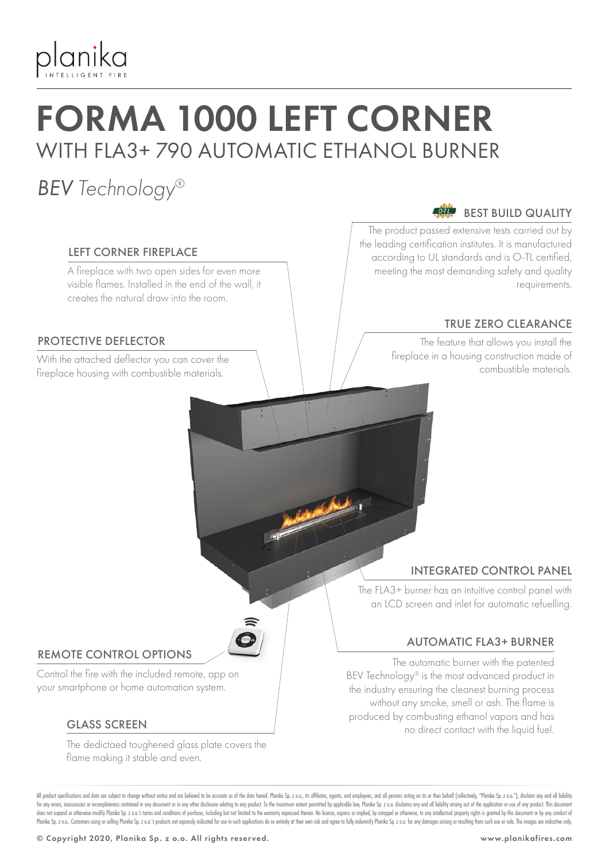

# FORMA 1000 LEFT CORNER WITH FLA3+ 790 AUTOMATIC ETHANOL BURNER

## *BEV Technology®*

#### LEFT CORNER FIREPLACE

A fireplace with two open sides for even more visible flames. Installed in the end of the wall, it creates the natural draw into the room.

### PROTECTIVE DEFLECTOR

With the attached deflector you can cover the the combustible materials.<br>Combustible materials fireplace housing with combustible materials.

#### $O-TL$ BEST BUILD QUALITY

The product passed extensive tests carried out by the leading certification institutes. It is manufactured according to UL standards and is O-TL certified, meeting the most demanding safety and quality requirements.

### TRUE ZERO CLEARANCE

The feature that allows you install the fireplace in a housing construction made of

## INTEGRATED CONTROL PANEL

The FLA3+ burner has an intuitive control panel with an LCD screen and inlet for automatic refuelling.

### AUTOMATIC FLA3+ BURNER

The automatic burner with the patented BEV Technology® is the most advanced product in the industry ensuring the cleanest burning process without any smoke, smell or ash. The flame is produced by combusting ethanol vapors and has no direct contact with the liquid fuel.

#### REMOTE CONTROL OPTIONS

Control the fire with the included remote, app on your smartphone or home automation system.

#### GLASS SCREEN

The dedictaed toughened glass plate covers the flame making it stable and even.

All product specifications and data are subject to change without notice and are believed to be accurate as of the date hereof. Planika So, z o.o., its affiliates, agents, and employees, and all only are action on its or t for any errors, inaccuracies or incompleteness contained in any document or in any other disclosure relating to any product. To the maximum extent permitted by applicable law, Planika Sp. z o.o. disclaims any and all liabi does not expand or otherwise modify Planika Sp. z o.o.'s terms and conditions of purchase, including but not limited to the warranty expressed therein. No license, express or implied, by estoppel or otherwise, to any intel Planika Sp. z o.o. Customers using or selling Planika Sp. z o.o.'s products not expressly indicated for use in such applications do so entirely at their own risk and agree to fully indemnify Planika Sp. z o.o. for any dama